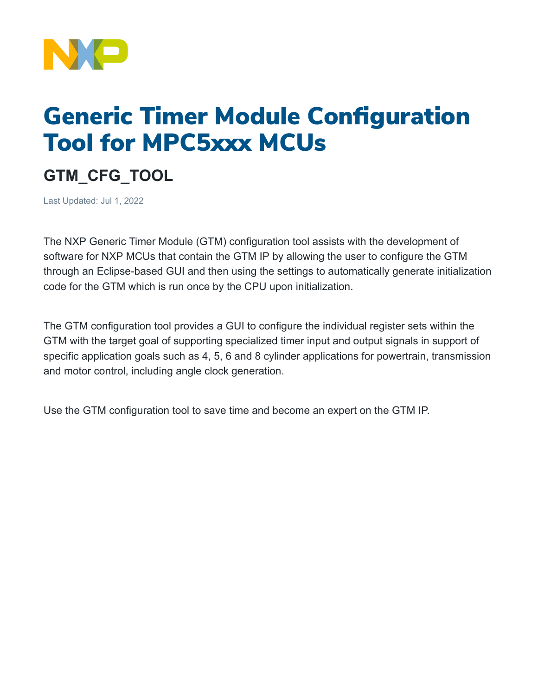

# Generic Timer Module Configuration Tool for MPC5xxx MCUs

## **GTM\_CFG\_TOOL**

Last Updated: Jul 1, 2022

The NXP Generic Timer Module (GTM) configuration tool assists with the development of software for NXP MCUs that contain the GTM IP by allowing the user to configure the GTM through an Eclipse-based GUI and then using the settings to automatically generate initialization code for the GTM which is run once by the CPU upon initialization.

The GTM configuration tool provides a GUI to configure the individual register sets within the GTM with the target goal of supporting specialized timer input and output signals in support of specific application goals such as 4, 5, 6 and 8 cylinder applications for powertrain, transmission and motor control, including angle clock generation.

Use the GTM configuration tool to save time and become an expert on the GTM IP.